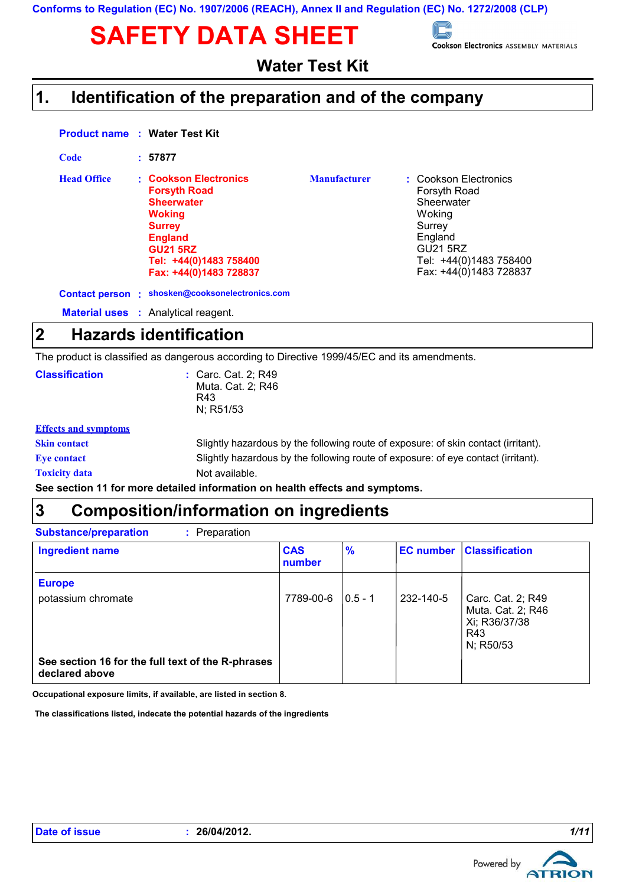# SAFETY DATA SHEET SOM SOOKSON Electronics ASSEMBLY MATERIALS



**Water Test Kit**

## **Identification of the preparation and of the company 1.**

|             |                    | <b>Product name : Water Test Kit</b>                                                                                                                                                         |                     |                                                                                                                                                           |
|-------------|--------------------|----------------------------------------------------------------------------------------------------------------------------------------------------------------------------------------------|---------------------|-----------------------------------------------------------------------------------------------------------------------------------------------------------|
|             | <b>Code</b>        | : 57877                                                                                                                                                                                      |                     |                                                                                                                                                           |
|             | <b>Head Office</b> | : Cookson Electronics<br><b>Forsyth Road</b><br><b>Sheerwater</b><br><b>Woking</b><br><b>Surrey</b><br><b>England</b><br><b>GU21 5RZ</b><br>Tel: +44(0)1483 758400<br>Fax: +44(0)1483 728837 | <b>Manufacturer</b> | : Cookson Electronics<br>Forsyth Road<br>Sheerwater<br>Woking<br>Surrey<br>England<br><b>GU21 5RZ</b><br>Tel: +44(0)1483 758400<br>Fax: +44(0)1483 728837 |
|             |                    | Contact person : shosken@cooksonelectronics.com                                                                                                                                              |                     |                                                                                                                                                           |
|             |                    | <b>Material uses : Analytical reagent.</b>                                                                                                                                                   |                     |                                                                                                                                                           |
| $\mathbf 2$ |                    | <b>Hazards identification</b>                                                                                                                                                                |                     |                                                                                                                                                           |
|             |                    | The modulational continuum demonstration of the state of $\sim$ 4000/45/50 and its successive state                                                                                          |                     |                                                                                                                                                           |

The product is classified as dangerous according to Directive 1999/45/EC and its amendments.

| <b>Classification</b>                                                        | : Carc. Cat. 2; R49<br>Muta. Cat. 2; R46<br>R43<br>N; R51/53                       |  |
|------------------------------------------------------------------------------|------------------------------------------------------------------------------------|--|
| <b>Effects and symptoms</b>                                                  |                                                                                    |  |
| <b>Skin contact</b>                                                          | Slightly hazardous by the following route of exposure: of skin contact (irritant). |  |
| <b>Eve contact</b>                                                           | Slightly hazardous by the following route of exposure: of eye contact (irritant).  |  |
| <b>Toxicity data</b>                                                         | Not available.                                                                     |  |
| See section 11 for more detailed information on health effects and symptoms. |                                                                                    |  |

## **Composition/information on ingredients 3**

| <b>Substance/preparation</b><br>: Preparation     |                      |               |                  |                                                         |
|---------------------------------------------------|----------------------|---------------|------------------|---------------------------------------------------------|
| <b>Ingredient name</b>                            | <b>CAS</b><br>number | $\frac{9}{6}$ | <b>EC</b> number | <b>Classification</b>                                   |
| <b>Europe</b><br>potassium chromate               | 7789-00-6            | $ 0.5 - 1 $   | 232-140-5        | Carc. Cat. 2; R49<br>Muta. Cat. 2; R46<br>Xi; R36/37/38 |
| See section 16 for the full text of the R-phrases |                      |               |                  | R43<br>N; R50/53                                        |
| declared above                                    |                      |               |                  |                                                         |

**Occupational exposure limits, if available, are listed in section 8.**

 **The classifications listed, indecate the potential hazards of the ingredients**

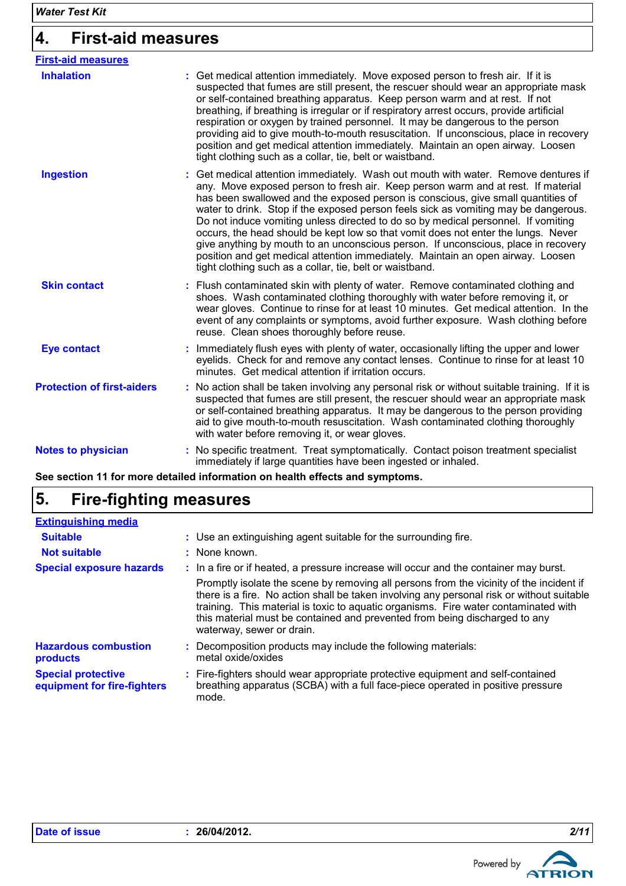## **4. First-aid measures**

| <b>First-aid measures</b>         |                                                                                                                                                                                                                                                                                                                                                                                                                                                                                                                                                                                                                                                                                                                                                                  |
|-----------------------------------|------------------------------------------------------------------------------------------------------------------------------------------------------------------------------------------------------------------------------------------------------------------------------------------------------------------------------------------------------------------------------------------------------------------------------------------------------------------------------------------------------------------------------------------------------------------------------------------------------------------------------------------------------------------------------------------------------------------------------------------------------------------|
| <b>Inhalation</b>                 | : Get medical attention immediately. Move exposed person to fresh air. If it is<br>suspected that fumes are still present, the rescuer should wear an appropriate mask<br>or self-contained breathing apparatus. Keep person warm and at rest. If not<br>breathing, if breathing is irregular or if respiratory arrest occurs, provide artificial<br>respiration or oxygen by trained personnel. It may be dangerous to the person<br>providing aid to give mouth-to-mouth resuscitation. If unconscious, place in recovery<br>position and get medical attention immediately. Maintain an open airway. Loosen<br>tight clothing such as a collar, tie, belt or waistband.                                                                                       |
| <b>Ingestion</b>                  | : Get medical attention immediately. Wash out mouth with water. Remove dentures if<br>any. Move exposed person to fresh air. Keep person warm and at rest. If material<br>has been swallowed and the exposed person is conscious, give small quantities of<br>water to drink. Stop if the exposed person feels sick as vomiting may be dangerous.<br>Do not induce vomiting unless directed to do so by medical personnel. If vomiting<br>occurs, the head should be kept low so that vomit does not enter the lungs. Never<br>give anything by mouth to an unconscious person. If unconscious, place in recovery<br>position and get medical attention immediately. Maintain an open airway. Loosen<br>tight clothing such as a collar, tie, belt or waistband. |
| <b>Skin contact</b>               | : Flush contaminated skin with plenty of water. Remove contaminated clothing and<br>shoes. Wash contaminated clothing thoroughly with water before removing it, or<br>wear gloves. Continue to rinse for at least 10 minutes. Get medical attention. In the<br>event of any complaints or symptoms, avoid further exposure. Wash clothing before<br>reuse. Clean shoes thoroughly before reuse.                                                                                                                                                                                                                                                                                                                                                                  |
| <b>Eye contact</b>                | : Immediately flush eyes with plenty of water, occasionally lifting the upper and lower<br>eyelids. Check for and remove any contact lenses. Continue to rinse for at least 10<br>minutes. Get medical attention if irritation occurs.                                                                                                                                                                                                                                                                                                                                                                                                                                                                                                                           |
| <b>Protection of first-aiders</b> | : No action shall be taken involving any personal risk or without suitable training. If it is<br>suspected that fumes are still present, the rescuer should wear an appropriate mask<br>or self-contained breathing apparatus. It may be dangerous to the person providing<br>aid to give mouth-to-mouth resuscitation. Wash contaminated clothing thoroughly<br>with water before removing it, or wear gloves.                                                                                                                                                                                                                                                                                                                                                  |
| <b>Notes to physician</b>         | : No specific treatment. Treat symptomatically. Contact poison treatment specialist<br>immediately if large quantities have been ingested or inhaled.                                                                                                                                                                                                                                                                                                                                                                                                                                                                                                                                                                                                            |

**See section 11 for more detailed information on health effects and symptoms.**

## **5. Fire-fighting measures**

| <b>Extinguishing media</b>                               |                                                                                                                                                                                                                                                                                                                                                                                        |
|----------------------------------------------------------|----------------------------------------------------------------------------------------------------------------------------------------------------------------------------------------------------------------------------------------------------------------------------------------------------------------------------------------------------------------------------------------|
| <b>Suitable</b>                                          | : Use an extinguishing agent suitable for the surrounding fire.                                                                                                                                                                                                                                                                                                                        |
| <b>Not suitable</b>                                      | : None known.                                                                                                                                                                                                                                                                                                                                                                          |
| <b>Special exposure hazards</b>                          | : In a fire or if heated, a pressure increase will occur and the container may burst.                                                                                                                                                                                                                                                                                                  |
|                                                          | Promptly isolate the scene by removing all persons from the vicinity of the incident if<br>there is a fire. No action shall be taken involving any personal risk or without suitable<br>training. This material is toxic to aquatic organisms. Fire water contaminated with<br>this material must be contained and prevented from being discharged to any<br>waterway, sewer or drain. |
| <b>Hazardous combustion</b><br>products                  | : Decomposition products may include the following materials:<br>metal oxide/oxides                                                                                                                                                                                                                                                                                                    |
| <b>Special protective</b><br>equipment for fire-fighters | : Fire-fighters should wear appropriate protective equipment and self-contained<br>breathing apparatus (SCBA) with a full face-piece operated in positive pressure<br>mode.                                                                                                                                                                                                            |

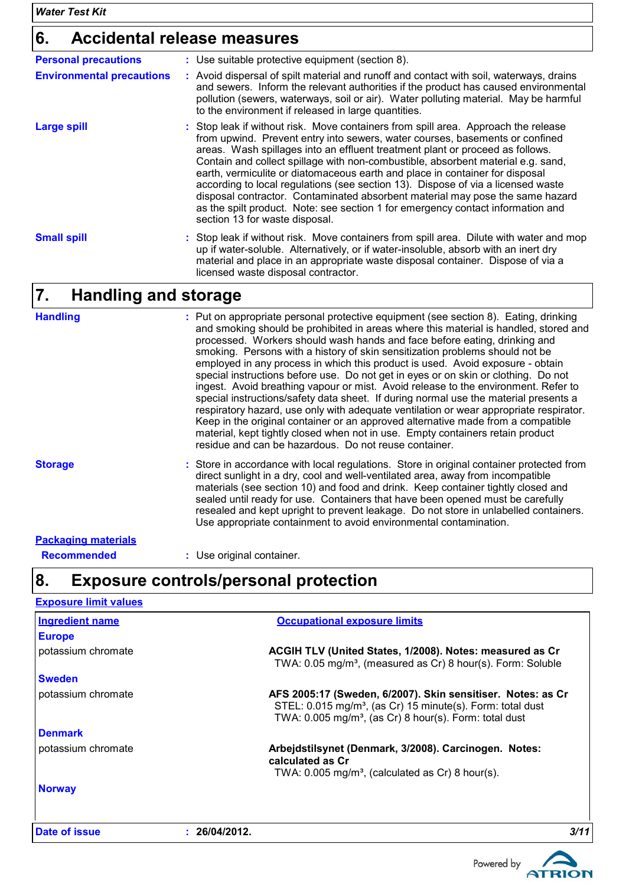# **6. Accidental release measures**

| <b>Personal precautions</b>      | : Use suitable protective equipment (section 8).                                                                                                                                                                                                                                                                                                                                                                                                                                                                                                                                                                                                                                                                  |
|----------------------------------|-------------------------------------------------------------------------------------------------------------------------------------------------------------------------------------------------------------------------------------------------------------------------------------------------------------------------------------------------------------------------------------------------------------------------------------------------------------------------------------------------------------------------------------------------------------------------------------------------------------------------------------------------------------------------------------------------------------------|
| <b>Environmental precautions</b> | : Avoid dispersal of spilt material and runoff and contact with soil, waterways, drains<br>and sewers. Inform the relevant authorities if the product has caused environmental<br>pollution (sewers, waterways, soil or air). Water polluting material. May be harmful<br>to the environment if released in large quantities.                                                                                                                                                                                                                                                                                                                                                                                     |
| <b>Large spill</b>               | : Stop leak if without risk. Move containers from spill area. Approach the release<br>from upwind. Prevent entry into sewers, water courses, basements or confined<br>areas. Wash spillages into an effluent treatment plant or proceed as follows.<br>Contain and collect spillage with non-combustible, absorbent material e.g. sand,<br>earth, vermiculite or diatomaceous earth and place in container for disposal<br>according to local regulations (see section 13). Dispose of via a licensed waste<br>disposal contractor. Contaminated absorbent material may pose the same hazard<br>as the spilt product. Note: see section 1 for emergency contact information and<br>section 13 for waste disposal. |
| <b>Small spill</b>               | : Stop leak if without risk. Move containers from spill area. Dilute with water and mop<br>up if water-soluble. Alternatively, or if water-insoluble, absorb with an inert dry<br>material and place in an appropriate waste disposal container. Dispose of via a<br>licensed waste disposal contractor.                                                                                                                                                                                                                                                                                                                                                                                                          |

#### **Handling and storage 7.**

| <b>Handling</b>            | : Put on appropriate personal protective equipment (see section 8). Eating, drinking<br>and smoking should be prohibited in areas where this material is handled, stored and<br>processed. Workers should wash hands and face before eating, drinking and<br>smoking. Persons with a history of skin sensitization problems should not be<br>employed in any process in which this product is used. Avoid exposure - obtain<br>special instructions before use. Do not get in eyes or on skin or clothing. Do not<br>ingest. Avoid breathing vapour or mist. Avoid release to the environment. Refer to<br>special instructions/safety data sheet. If during normal use the material presents a<br>respiratory hazard, use only with adequate ventilation or wear appropriate respirator.<br>Keep in the original container or an approved alternative made from a compatible<br>material, kept tightly closed when not in use. Empty containers retain product<br>residue and can be hazardous. Do not reuse container. |
|----------------------------|--------------------------------------------------------------------------------------------------------------------------------------------------------------------------------------------------------------------------------------------------------------------------------------------------------------------------------------------------------------------------------------------------------------------------------------------------------------------------------------------------------------------------------------------------------------------------------------------------------------------------------------------------------------------------------------------------------------------------------------------------------------------------------------------------------------------------------------------------------------------------------------------------------------------------------------------------------------------------------------------------------------------------|
| <b>Storage</b>             | : Store in accordance with local regulations. Store in original container protected from<br>direct sunlight in a dry, cool and well-ventilated area, away from incompatible<br>materials (see section 10) and food and drink. Keep container tightly closed and<br>sealed until ready for use. Containers that have been opened must be carefully<br>resealed and kept upright to prevent leakage. Do not store in unlabelled containers.<br>Use appropriate containment to avoid environmental contamination.                                                                                                                                                                                                                                                                                                                                                                                                                                                                                                           |
| <b>Packaging materials</b> |                                                                                                                                                                                                                                                                                                                                                                                                                                                                                                                                                                                                                                                                                                                                                                                                                                                                                                                                                                                                                          |
| <b>Recommended</b>         | : Use original container.                                                                                                                                                                                                                                                                                                                                                                                                                                                                                                                                                                                                                                                                                                                                                                                                                                                                                                                                                                                                |

# **8. Exposure controls/personal protection**

| <b>Exposure limit values</b> |               |                                                                                                                                                                                                             |      |
|------------------------------|---------------|-------------------------------------------------------------------------------------------------------------------------------------------------------------------------------------------------------------|------|
| <b>Ingredient name</b>       |               | <b>Occupational exposure limits</b>                                                                                                                                                                         |      |
| <b>Europe</b>                |               |                                                                                                                                                                                                             |      |
| potassium chromate           |               | ACGIH TLV (United States, 1/2008). Notes: measured as Cr<br>TWA: 0.05 mg/m <sup>3</sup> , (measured as Cr) 8 hour(s). Form: Soluble                                                                         |      |
| <b>Sweden</b>                |               |                                                                                                                                                                                                             |      |
| potassium chromate           |               | AFS 2005:17 (Sweden, 6/2007). Skin sensitiser. Notes: as Cr<br>STEL: 0.015 mg/m <sup>3</sup> , (as Cr) 15 minute(s). Form: total dust<br>TWA: 0.005 mg/m <sup>3</sup> , (as Cr) 8 hour(s). Form: total dust |      |
| <b>Denmark</b>               |               |                                                                                                                                                                                                             |      |
| potassium chromate           |               | Arbejdstilsynet (Denmark, 3/2008). Carcinogen. Notes:<br>calculated as Cr<br>TWA: $0.005$ mg/m <sup>3</sup> , (calculated as Cr) 8 hour(s).                                                                 |      |
| <b>Norway</b>                |               |                                                                                                                                                                                                             |      |
| Date of issue                | : 26/04/2012. |                                                                                                                                                                                                             | 3/11 |

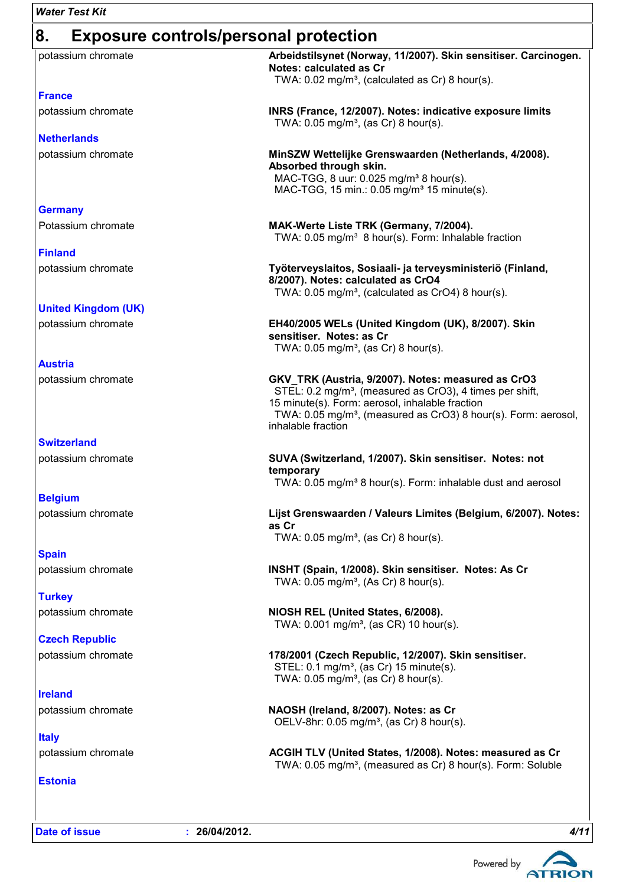| <b>Water Test Kit</b>                              |                                                                                                                                                                                                                                                                                   |  |  |  |
|----------------------------------------------------|-----------------------------------------------------------------------------------------------------------------------------------------------------------------------------------------------------------------------------------------------------------------------------------|--|--|--|
| 8.<br><b>Exposure controls/personal protection</b> |                                                                                                                                                                                                                                                                                   |  |  |  |
| potassium chromate                                 | Arbeidstilsynet (Norway, 11/2007). Skin sensitiser. Carcinogen.<br>Notes: calculated as Cr<br>TWA: 0.02 mg/m <sup>3</sup> , (calculated as Cr) 8 hour(s).                                                                                                                         |  |  |  |
| <b>France</b>                                      |                                                                                                                                                                                                                                                                                   |  |  |  |
| potassium chromate                                 | INRS (France, 12/2007). Notes: indicative exposure limits<br>TWA: $0.05$ mg/m <sup>3</sup> , (as Cr) 8 hour(s).                                                                                                                                                                   |  |  |  |
| <b>Netherlands</b>                                 |                                                                                                                                                                                                                                                                                   |  |  |  |
| potassium chromate                                 | MinSZW Wettelijke Grenswaarden (Netherlands, 4/2008).<br>Absorbed through skin.<br>MAC-TGG, 8 uur: 0.025 mg/m <sup>3</sup> 8 hour(s).<br>MAC-TGG, 15 min.: 0.05 mg/m <sup>3</sup> 15 minute(s).                                                                                   |  |  |  |
| <b>Germany</b>                                     |                                                                                                                                                                                                                                                                                   |  |  |  |
| Potassium chromate                                 | MAK-Werte Liste TRK (Germany, 7/2004).<br>TWA: 0.05 mg/m <sup>3</sup> 8 hour(s). Form: Inhalable fraction                                                                                                                                                                         |  |  |  |
| <b>Finland</b>                                     |                                                                                                                                                                                                                                                                                   |  |  |  |
| potassium chromate                                 | Työterveyslaitos, Sosiaali- ja terveysministeriö (Finland,<br>8/2007). Notes: calculated as CrO4<br>TWA: 0.05 mg/m <sup>3</sup> , (calculated as CrO4) 8 hour(s).                                                                                                                 |  |  |  |
| <b>United Kingdom (UK)</b>                         |                                                                                                                                                                                                                                                                                   |  |  |  |
| potassium chromate                                 | EH40/2005 WELs (United Kingdom (UK), 8/2007). Skin<br>sensitiser. Notes: as Cr<br>TWA: $0.05$ mg/m <sup>3</sup> , (as Cr) 8 hour(s).                                                                                                                                              |  |  |  |
| <b>Austria</b>                                     |                                                                                                                                                                                                                                                                                   |  |  |  |
| potassium chromate                                 | GKV_TRK (Austria, 9/2007). Notes: measured as CrO3<br>STEL: 0.2 mg/m <sup>3</sup> , (measured as CrO3), 4 times per shift,<br>15 minute(s). Form: aerosol, inhalable fraction<br>TWA: 0.05 mg/m <sup>3</sup> , (measured as CrO3) 8 hour(s). Form: aerosol,<br>inhalable fraction |  |  |  |
| <b>Switzerland</b>                                 |                                                                                                                                                                                                                                                                                   |  |  |  |
| potassium chromate                                 | SUVA (Switzerland, 1/2007). Skin sensitiser. Notes: not<br>temporary<br>TWA: 0.05 mg/m <sup>3</sup> 8 hour(s). Form: inhalable dust and aerosol                                                                                                                                   |  |  |  |
| <b>Belgium</b>                                     |                                                                                                                                                                                                                                                                                   |  |  |  |
| potassium chromate                                 | Lijst Grenswaarden / Valeurs Limites (Belgium, 6/2007). Notes:<br>as Cr<br>TWA: $0.05$ mg/m <sup>3</sup> , (as Cr) 8 hour(s).                                                                                                                                                     |  |  |  |
| <b>Spain</b>                                       |                                                                                                                                                                                                                                                                                   |  |  |  |
| potassium chromate                                 | INSHT (Spain, 1/2008). Skin sensitiser. Notes: As Cr<br>TWA: 0.05 mg/m <sup>3</sup> , (As Cr) 8 hour(s).                                                                                                                                                                          |  |  |  |
| <b>Turkey</b>                                      |                                                                                                                                                                                                                                                                                   |  |  |  |
| potassium chromate                                 | NIOSH REL (United States, 6/2008).<br>TWA: 0.001 mg/m <sup>3</sup> , (as CR) 10 hour(s).                                                                                                                                                                                          |  |  |  |
| <b>Czech Republic</b>                              |                                                                                                                                                                                                                                                                                   |  |  |  |
| potassium chromate                                 | 178/2001 (Czech Republic, 12/2007). Skin sensitiser.<br>STEL: 0.1 mg/m <sup>3</sup> , (as Cr) 15 minute(s).<br>TWA: $0.05$ mg/m <sup>3</sup> , (as Cr) 8 hour(s).                                                                                                                 |  |  |  |
| <b>Ireland</b>                                     |                                                                                                                                                                                                                                                                                   |  |  |  |

**Italy** potassium chromate **NAOSH (Ireland, 8/2007). Notes: as Cr**

potassium chromate **ACGIH TLV (United States, 1/2008). Notes: measured as Cr**

**Estonia**

**Date of issue : 26/04/2012.** *4/11*



TWA: 0.05 mg/m<sup>3</sup>, (measured as Cr) 8 hour(s). Form: Soluble

OELV-8hr:  $0.05$  mg/m<sup>3</sup>, (as Cr) 8 hour(s).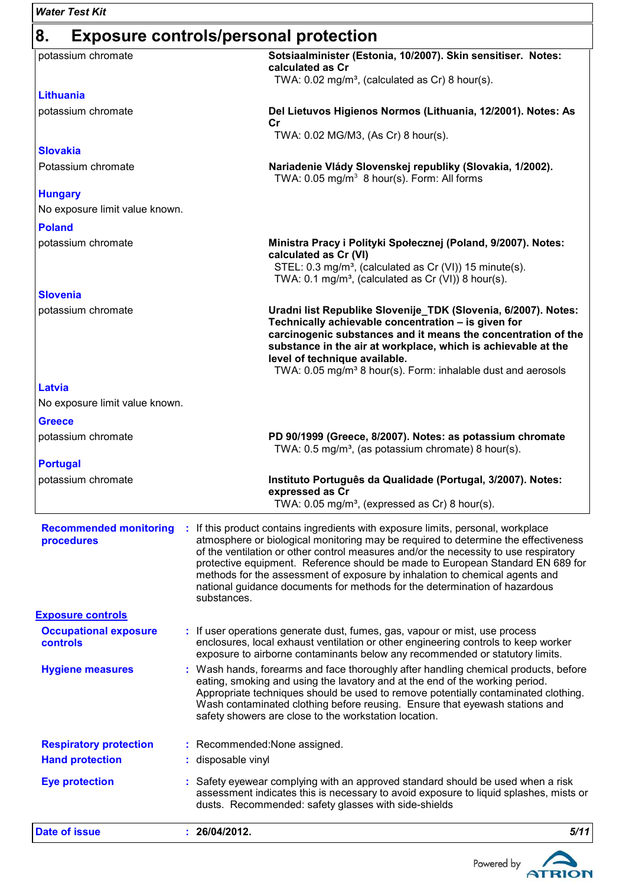| <b>Water Test Kit</b>                           |                                                                                                                                                                                                                                                                                                                                                                                                                                                                                                                                  |
|-------------------------------------------------|----------------------------------------------------------------------------------------------------------------------------------------------------------------------------------------------------------------------------------------------------------------------------------------------------------------------------------------------------------------------------------------------------------------------------------------------------------------------------------------------------------------------------------|
| 8.                                              | <b>Exposure controls/personal protection</b>                                                                                                                                                                                                                                                                                                                                                                                                                                                                                     |
| potassium chromate                              | Sotsiaalminister (Estonia, 10/2007). Skin sensitiser. Notes:<br>calculated as Cr<br>TWA: 0.02 mg/m <sup>3</sup> , (calculated as Cr) 8 hour(s).                                                                                                                                                                                                                                                                                                                                                                                  |
| <b>Lithuania</b>                                |                                                                                                                                                                                                                                                                                                                                                                                                                                                                                                                                  |
| potassium chromate                              | Del Lietuvos Higienos Normos (Lithuania, 12/2001). Notes: As<br>cr                                                                                                                                                                                                                                                                                                                                                                                                                                                               |
|                                                 | TWA: 0.02 MG/M3, (As Cr) 8 hour(s).                                                                                                                                                                                                                                                                                                                                                                                                                                                                                              |
| <b>Slovakia</b>                                 |                                                                                                                                                                                                                                                                                                                                                                                                                                                                                                                                  |
| Potassium chromate                              | Nariadenie Vlády Slovenskej republiky (Slovakia, 1/2002).<br>TWA: 0.05 mg/m <sup>3</sup> 8 hour(s). Form: All forms                                                                                                                                                                                                                                                                                                                                                                                                              |
| <b>Hungary</b>                                  |                                                                                                                                                                                                                                                                                                                                                                                                                                                                                                                                  |
| No exposure limit value known.                  |                                                                                                                                                                                                                                                                                                                                                                                                                                                                                                                                  |
| <b>Poland</b>                                   |                                                                                                                                                                                                                                                                                                                                                                                                                                                                                                                                  |
| potassium chromate                              | Ministra Pracy i Polityki Społecznej (Poland, 9/2007). Notes:<br>calculated as Cr (VI)<br>STEL: 0.3 mg/m <sup>3</sup> , (calculated as Cr (VI)) 15 minute(s).<br>TWA: 0.1 mg/m <sup>3</sup> , (calculated as Cr (VI)) 8 hour(s).                                                                                                                                                                                                                                                                                                 |
| <b>Slovenia</b>                                 |                                                                                                                                                                                                                                                                                                                                                                                                                                                                                                                                  |
| potassium chromate                              | Uradni list Republike Slovenije_TDK (Slovenia, 6/2007). Notes:<br>Technically achievable concentration - is given for<br>carcinogenic substances and it means the concentration of the<br>substance in the air at workplace, which is achievable at the<br>level of technique available.<br>TWA: 0.05 mg/m <sup>3</sup> 8 hour(s). Form: inhalable dust and aerosols                                                                                                                                                             |
| Latvia                                          |                                                                                                                                                                                                                                                                                                                                                                                                                                                                                                                                  |
| No exposure limit value known.                  |                                                                                                                                                                                                                                                                                                                                                                                                                                                                                                                                  |
| <b>Greece</b>                                   |                                                                                                                                                                                                                                                                                                                                                                                                                                                                                                                                  |
| potassium chromate                              | PD 90/1999 (Greece, 8/2007). Notes: as potassium chromate<br>TWA: 0.5 mg/m <sup>3</sup> , (as potassium chromate) 8 hour(s).                                                                                                                                                                                                                                                                                                                                                                                                     |
| <b>Portugal</b>                                 |                                                                                                                                                                                                                                                                                                                                                                                                                                                                                                                                  |
| potassium chromate                              | Instituto Português da Qualidade (Portugal, 3/2007). Notes:<br>expressed as Cr<br>TWA: 0.05 mg/m <sup>3</sup> , (expressed as Cr) 8 hour(s).                                                                                                                                                                                                                                                                                                                                                                                     |
| <b>Recommended monitoring</b><br>procedures     | If this product contains ingredients with exposure limits, personal, workplace<br>÷.<br>atmosphere or biological monitoring may be required to determine the effectiveness<br>of the ventilation or other control measures and/or the necessity to use respiratory<br>protective equipment. Reference should be made to European Standard EN 689 for<br>methods for the assessment of exposure by inhalation to chemical agents and<br>national guidance documents for methods for the determination of hazardous<br>substances. |
| <b>Exposure controls</b>                        |                                                                                                                                                                                                                                                                                                                                                                                                                                                                                                                                  |
| <b>Occupational exposure</b><br><b>controls</b> | : If user operations generate dust, fumes, gas, vapour or mist, use process<br>enclosures, local exhaust ventilation or other engineering controls to keep worker<br>exposure to airborne contaminants below any recommended or statutory limits.                                                                                                                                                                                                                                                                                |
| <b>Hygiene measures</b>                         | : Wash hands, forearms and face thoroughly after handling chemical products, before<br>eating, smoking and using the lavatory and at the end of the working period.<br>Appropriate techniques should be used to remove potentially contaminated clothing.<br>Wash contaminated clothing before reusing. Ensure that eyewash stations and<br>safety showers are close to the workstation location.                                                                                                                                |
| <b>Respiratory protection</b>                   | : Recommended: None assigned.                                                                                                                                                                                                                                                                                                                                                                                                                                                                                                    |
| <b>Hand protection</b>                          | : disposable vinyl                                                                                                                                                                                                                                                                                                                                                                                                                                                                                                               |
| <b>Eye protection</b>                           | : Safety eyewear complying with an approved standard should be used when a risk<br>assessment indicates this is necessary to avoid exposure to liquid splashes, mists or<br>dusts. Recommended: safety glasses with side-shields                                                                                                                                                                                                                                                                                                 |
| <b>Date of issue</b>                            | 5/11<br>: 26/04/2012.                                                                                                                                                                                                                                                                                                                                                                                                                                                                                                            |

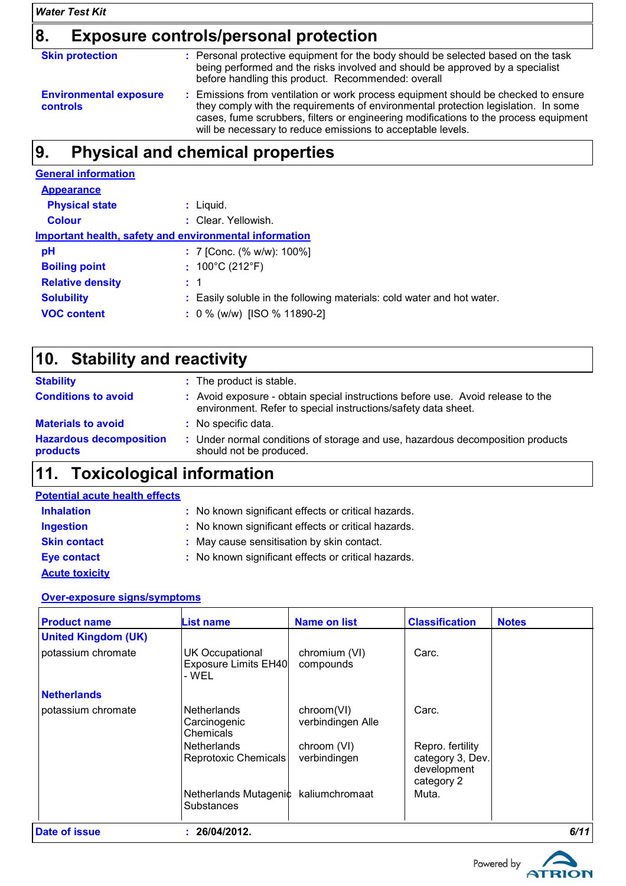## *Water Test Kit*

## **8. Exposure controls/personal protection**

| <b>Skin protection</b>                    | : Personal protective equipment for the body should be selected based on the task<br>being performed and the risks involved and should be approved by a specialist<br>before handling this product. Recommended: overall                                                                                                        |
|-------------------------------------------|---------------------------------------------------------------------------------------------------------------------------------------------------------------------------------------------------------------------------------------------------------------------------------------------------------------------------------|
| <b>Environmental exposure</b><br>controls | : Emissions from ventilation or work process equipment should be checked to ensure<br>they comply with the requirements of environmental protection legislation. In some<br>cases, fume scrubbers, filters or engineering modifications to the process equipment<br>will be necessary to reduce emissions to acceptable levels. |

## **9.**

| <b>General information</b>                             |  |                                                                        |  |  |  |
|--------------------------------------------------------|--|------------------------------------------------------------------------|--|--|--|
| <b>Appearance</b>                                      |  |                                                                        |  |  |  |
| <b>Physical state</b>                                  |  | : Liquid.                                                              |  |  |  |
| <b>Colour</b>                                          |  | : Clear. Yellowish.                                                    |  |  |  |
| Important health, safety and environmental information |  |                                                                        |  |  |  |
| рH                                                     |  | : 7 [Conc. (% w/w): 100%]                                              |  |  |  |
| <b>Boiling point</b>                                   |  | : $100^{\circ}$ C (212 $^{\circ}$ F)                                   |  |  |  |
| <b>Relative density</b>                                |  | $\pm$ 1                                                                |  |  |  |
| <b>Solubility</b>                                      |  | : Easily soluble in the following materials: cold water and hot water. |  |  |  |
| <b>VOC content</b>                                     |  | $: 0\%$ (w/w) [ISO % 11890-2]                                          |  |  |  |

| <b>Stability</b>                           | : The product is stable.                                                                                                                         |
|--------------------------------------------|--------------------------------------------------------------------------------------------------------------------------------------------------|
| <b>Conditions to avoid</b>                 | : Avoid exposure - obtain special instructions before use. Avoid release to the<br>environment. Refer to special instructions/safety data sheet. |
| <b>Materials to avoid</b>                  | : No specific data.                                                                                                                              |
| <b>Hazardous decomposition</b><br>products | : Under normal conditions of storage and use, hazardous decomposition products<br>should not be produced.                                        |

| <b>Potential acute health effects</b> |                                                     |
|---------------------------------------|-----------------------------------------------------|
| <b>Inhalation</b>                     | : No known significant effects or critical hazards. |
| <b>Ingestion</b>                      | : No known significant effects or critical hazards. |
| <b>Skin contact</b>                   | : May cause sensitisation by skin contact.          |
| <b>Eye contact</b>                    | : No known significant effects or critical hazards. |
| <b>Acute toxicity</b>                 |                                                     |

## **Over-exposure signs/symptoms**

| <b>Product name</b>        | <b>List name</b>                                        | <b>Name on list</b>             | <b>Classification</b>                                             | <b>Notes</b> |
|----------------------------|---------------------------------------------------------|---------------------------------|-------------------------------------------------------------------|--------------|
| <b>United Kingdom (UK)</b> |                                                         |                                 |                                                                   |              |
| potassium chromate         | <b>UK Occupational</b><br>Exposure Limits EH40<br>- WFL | chromium (VI)<br>compounds      | Carc.                                                             |              |
| <b>Netherlands</b>         |                                                         |                                 |                                                                   |              |
| potassium chromate         | <b>Netherlands</b><br>Carcinogenic<br>Chemicals         | chroom(VI)<br>verbindingen Alle | Carc.                                                             |              |
|                            | <b>Netherlands</b><br><b>Reprotoxic Chemicals</b>       | chroom (VI)<br>verbindingen     | Repro. fertility<br>category 3, Dev.<br>development<br>category 2 |              |
|                            | Netherlands Mutagenic kaliumchromaat<br>Substances      |                                 | Muta.                                                             |              |
| Date of issue              | : 26/04/2012.                                           |                                 |                                                                   | 6/11         |

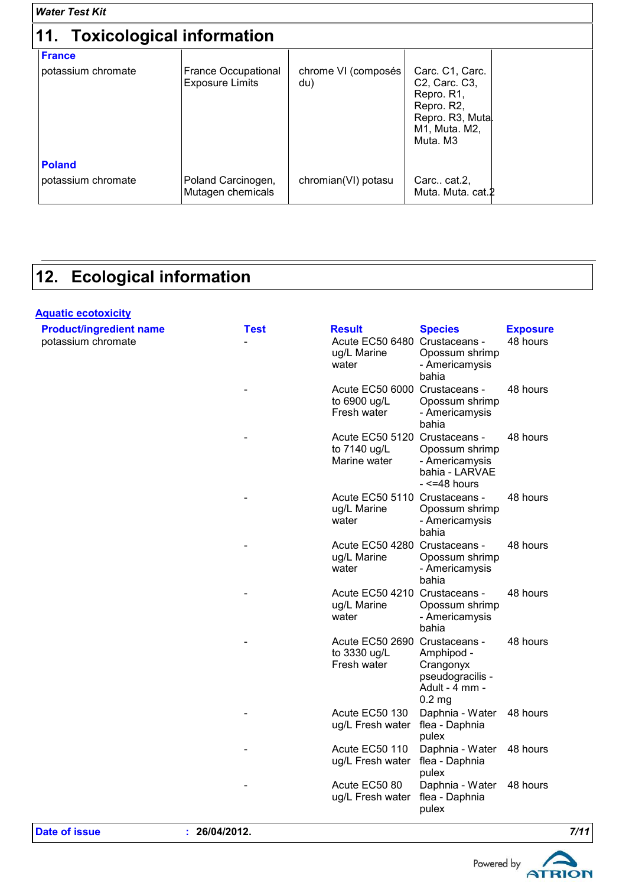| <b>Water Test Kit</b>               |                                                      |                            |                                                                                                                                         |  |
|-------------------------------------|------------------------------------------------------|----------------------------|-----------------------------------------------------------------------------------------------------------------------------------------|--|
| 11. Toxicological information       |                                                      |                            |                                                                                                                                         |  |
| <b>France</b><br>potassium chromate | <b>France Occupational</b><br><b>Exposure Limits</b> | chrome VI (composés<br>du) | Carc. C1, Carc.<br>C <sub>2</sub> , Carc. C <sub>3</sub> ,<br>Repro. R1,<br>Repro. R2,<br>Repro. R3, Mutal<br>M1, Muta. M2,<br>Muta, M3 |  |
| <b>Poland</b><br>potassium chromate | Poland Carcinogen,<br>Mutagen chemicals              | chromian(VI) potasu        | Carc cat.2.<br>Muta. Muta. cat.2                                                                                                        |  |

## **12. Ecological information**

#### **Aquatic ecotoxicity** potassium chromate and the control of the Acute EC50 6480 Crustaceans - Acute EC50 6480 Crustaceans - Acute EC50 6480 Crustaceans - Acute EC50 6480 Crustaceans - Acute EC50 6480 Crustaceans - Acute EC50 6480 Crustaceans ug/L Marine water Opossum shrimp - Americamysis bahia 48 hours - Acute EC50 6000 Crustaceans to 6900 ug/L Fresh water Opossum shrimp - Americamysis bahia 48 hours - Acute EC50 5120 Crustaceans to 7140 ug/L Marine water Opossum shrimp - Americamysis bahia - LARVAE  $- < 48$  hours 48 hours - Acute EC50 5110 Crustaceans - 4 ug/L Marine water Opossum shrimp - Americamysis bahia 48 hours - Acute EC50 4280 Crustaceans ug/L Marine water Opossum shrimp - Americamysis bahia 48 hours - Acute EC50 4210 Crustaceans ug/L Marine water Opossum shrimp - Americamysis bahia 48 hours - Acute EC50 2690 Crustaceans to 3330 ug/L Fresh water Amphipod - Crangonyx pseudogracilis - Adult - 4 mm - 0.2 mg 48 hours Acute EC50 130 ug/L Fresh water Daphnia - Water 48 hours flea - Daphnia pulex Acute EC50 110 ug/L Fresh water Daphnia - Water flea - Daphnia pulex 48 hours Acute EC50 80 ug/L Fresh water Daphnia - Water 48 hours flea - Daphnia pulex **Product/ingredient name Test Result Species Exposure**

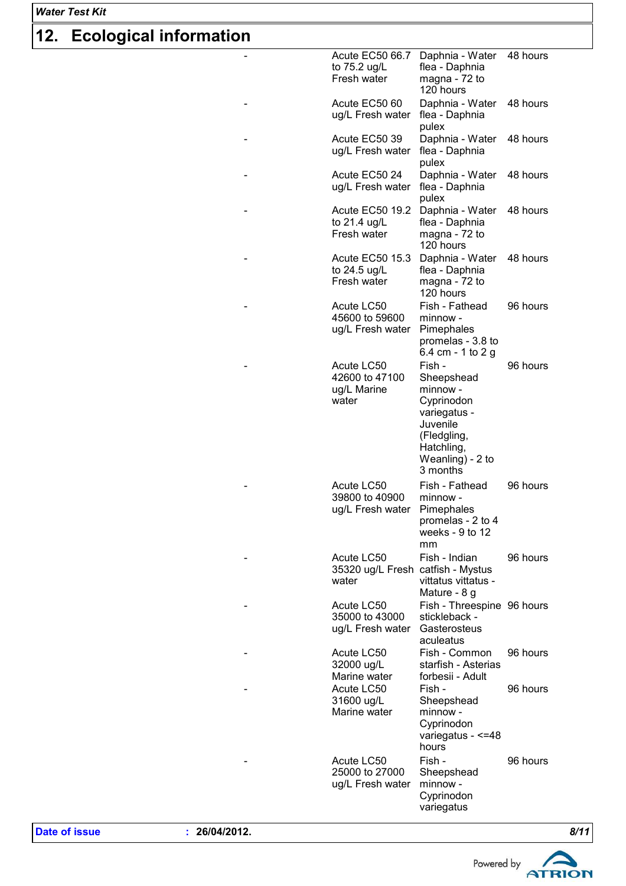## *Water Test Kit*

# **12. Ecological information**

| - | <b>Acute EC50 66.7</b><br>to 75.2 ug/L                   | Daphnia - Water<br>flea - Daphnia                                                                                                       | 48 hours |
|---|----------------------------------------------------------|-----------------------------------------------------------------------------------------------------------------------------------------|----------|
|   | Fresh water                                              | magna - 72 to<br>120 hours                                                                                                              |          |
|   | Acute EC50 60<br>ug/L Fresh water                        | Daphnia - Water<br>flea - Daphnia<br>pulex                                                                                              | 48 hours |
|   | Acute EC50 39<br>ug/L Fresh water                        | Daphnia - Water<br>flea - Daphnia<br>pulex                                                                                              | 48 hours |
|   | Acute EC50 24<br>ug/L Fresh water                        | Daphnia - Water<br>flea - Daphnia<br>pulex                                                                                              | 48 hours |
| - | <b>Acute EC50 19.2</b><br>to 21.4 ug/L<br>Fresh water    | Daphnia - Water<br>flea - Daphnia<br>magna - 72 to<br>120 hours                                                                         | 48 hours |
| - | <b>Acute EC50 15.3</b><br>to 24.5 ug/L<br>Fresh water    | Daphnia - Water<br>flea - Daphnia<br>magna - 72 to<br>120 hours                                                                         | 48 hours |
|   | Acute LC50<br>45600 to 59600<br>ug/L Fresh water         | Fish - Fathead<br>minnow -<br>Pimephales<br>promelas - 3.8 to<br>6.4 cm - 1 to 2 g                                                      | 96 hours |
|   | Acute LC50<br>42600 to 47100<br>ug/L Marine<br>water     | Fish -<br>Sheepshead<br>minnow -<br>Cyprinodon<br>variegatus -<br>Juvenile<br>(Fledgling,<br>Hatchling,<br>Weanling) - 2 to<br>3 months | 96 hours |
|   | Acute LC50<br>39800 to 40900<br>ug/L Fresh water         | Fish - Fathead<br>minnow -<br>Pimephales<br>promelas - 2 to 4<br>weeks - 9 to 12<br>mm                                                  | 96 hours |
|   | Acute LC50<br>35320 ug/L Fresh catfish - Mystus<br>water | Fish - Indian<br>vittatus vittatus -<br>Mature - 8 g                                                                                    | 96 hours |
|   | Acute LC50<br>35000 to 43000<br>ug/L Fresh water         | Fish - Threespine 96 hours<br>stickleback -<br>Gasterosteus<br>aculeatus                                                                |          |
|   | Acute LC50<br>32000 ug/L<br>Marine water                 | Fish - Common<br>starfish - Asterias<br>forbesii - Adult                                                                                | 96 hours |
|   | Acute LC50<br>31600 ug/L<br>Marine water                 | Fish -<br>Sheepshead<br>minnow -<br>Cyprinodon<br>variegatus - $\leq$ =48<br>hours                                                      | 96 hours |
|   | Acute LC50<br>25000 to 27000<br>ug/L Fresh water         | Fish -<br>Sheepshead<br>minnow -<br>Cyprinodon<br>variegatus                                                                            | 96 hours |

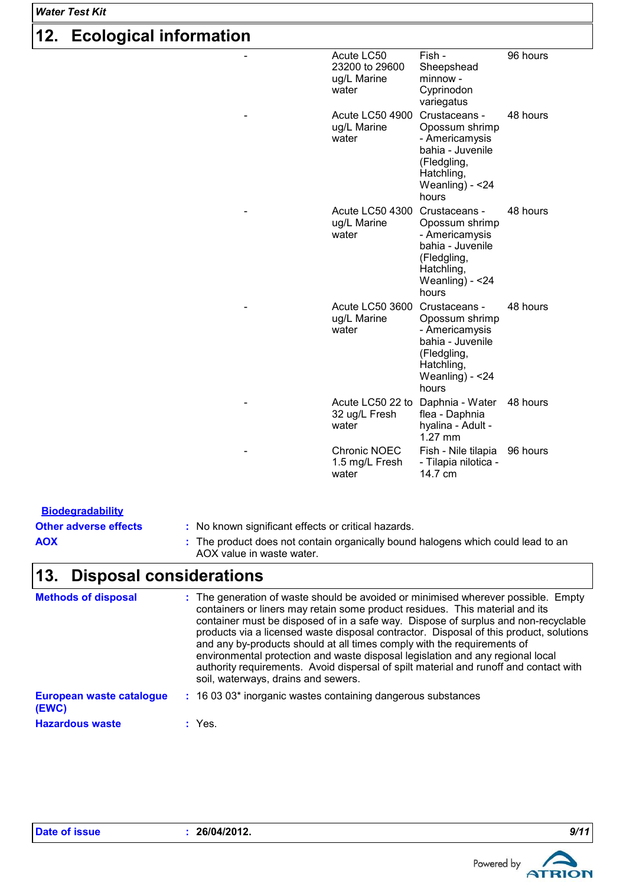### *Water Test Kit*

# **12. Ecological information**

| - | Acute LC50<br>23200 to 29600<br>ug/L Marine<br>water | Fish -<br>Sheepshead<br>minnow -<br>Cyprinodon<br>variegatus                                                                      | 96 hours |
|---|------------------------------------------------------|-----------------------------------------------------------------------------------------------------------------------------------|----------|
|   | <b>Acute LC50 4900</b><br>ug/L Marine<br>water       | Crustaceans -<br>Opossum shrimp<br>- Americamysis<br>bahia - Juvenile<br>(Fledgling,<br>Hatchling,<br>Weanling) - $<$ 24<br>hours | 48 hours |
|   | <b>Acute LC50 4300</b><br>ug/L Marine<br>water       | Crustaceans -<br>Opossum shrimp<br>- Americamysis<br>bahia - Juvenile<br>(Fledgling,<br>Hatchling,<br>Weanling) - $<$ 24<br>hours | 48 hours |
|   | Acute LC50 3600<br>ug/L Marine<br>water              | Crustaceans -<br>Opossum shrimp<br>- Americamysis<br>bahia - Juvenile<br>(Fledgling,<br>Hatchling,<br>Weanling) - < 24<br>hours   | 48 hours |
|   | Acute LC50 22 to<br>32 ug/L Fresh<br>water           | Daphnia - Water<br>flea - Daphnia<br>hyalina - Adult -<br>$1.27$ mm                                                               | 48 hours |
|   | Chronic NOEC<br>1.5 mg/L Fresh<br>water              | Fish - Nile tilapia<br>- Tilapia nilotica -<br>14.7 cm                                                                            | 96 hours |

| <b>Biodegradability</b>               |                                                                                                                                                                                                                                                                                                                                                                                                                                                                                                                                                                                                                                                |
|---------------------------------------|------------------------------------------------------------------------------------------------------------------------------------------------------------------------------------------------------------------------------------------------------------------------------------------------------------------------------------------------------------------------------------------------------------------------------------------------------------------------------------------------------------------------------------------------------------------------------------------------------------------------------------------------|
| <b>Other adverse effects</b>          | : No known significant effects or critical hazards.                                                                                                                                                                                                                                                                                                                                                                                                                                                                                                                                                                                            |
| <b>AOX</b>                            | : The product does not contain organically bound halogens which could lead to an<br>AOX value in waste water.                                                                                                                                                                                                                                                                                                                                                                                                                                                                                                                                  |
| <b>Disposal considerations</b><br>13. |                                                                                                                                                                                                                                                                                                                                                                                                                                                                                                                                                                                                                                                |
| <b>Methods of disposal</b>            | : The generation of waste should be avoided or minimised wherever possible. Empty<br>containers or liners may retain some product residues. This material and its<br>container must be disposed of in a safe way. Dispose of surplus and non-recyclable<br>products via a licensed waste disposal contractor. Disposal of this product, solutions<br>and any by-products should at all times comply with the requirements of<br>environmental protection and waste disposal legislation and any regional local<br>authority requirements. Avoid dispersal of spilt material and runoff and contact with<br>soil, waterways, drains and sewers. |
|                                       | $\overline{a}$ , $\overline{a}$ , $\overline{a}$ , $\overline{a}$ , $\overline{a}$ , $\overline{a}$ , $\overline{a}$ , $\overline{a}$ , $\overline{a}$ , $\overline{a}$ , $\overline{a}$ , $\overline{a}$ , $\overline{a}$ , $\overline{a}$ , $\overline{a}$ , $\overline{a}$ , $\overline{a}$ , $\overline{a}$ , $\overline{a}$ , $\overline{a}$ ,                                                                                                                                                                                                                                                                                            |

#### **European waste catalogue (EWC) :** 16 03 03\* inorganic wastes containing dangerous substances

**Hazardous waste :** Yes.

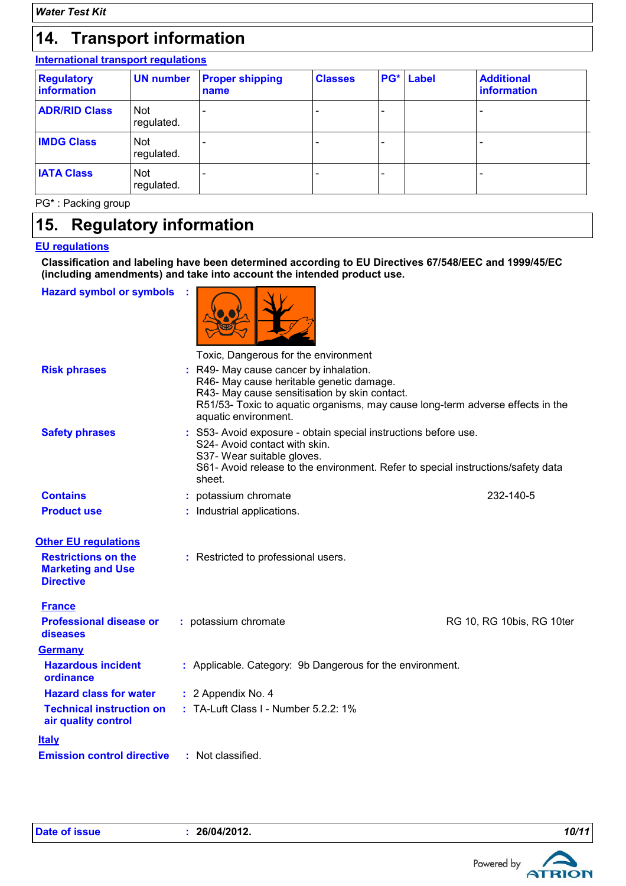## **14. Transport information**

## **International transport regulations**

| <b>Regulatory</b><br>information | <b>UN number</b>         | <b>Proper shipping</b><br>name | <b>Classes</b> | <b>PG*</b> Label | <b>Additional</b><br>information |
|----------------------------------|--------------------------|--------------------------------|----------------|------------------|----------------------------------|
| <b>ADR/RID Class</b>             | Not<br>regulated.        |                                |                |                  |                                  |
| <b>IMDG Class</b>                | <b>Not</b><br>regulated. |                                |                |                  |                                  |
| <b>IATA Class</b>                | <b>Not</b><br>regulated. |                                |                |                  |                                  |

PG\* : Packing group

## **15. Regulatory information**

## **EU regulations**

**Classification and labeling have been determined according to EU Directives 67/548/EEC and 1999/45/EC (including amendments) and take into account the intended product use.**

**Hazard symbol or symbols :**



|                                                                            | TOXIC, Dangerous for the environment                                                                                                                                                                                                        |                           |
|----------------------------------------------------------------------------|---------------------------------------------------------------------------------------------------------------------------------------------------------------------------------------------------------------------------------------------|---------------------------|
| <b>Risk phrases</b>                                                        | R49- May cause cancer by inhalation.<br>R46- May cause heritable genetic damage.<br>R43- May cause sensitisation by skin contact.<br>R51/53- Toxic to aquatic organisms, may cause long-term adverse effects in the<br>aquatic environment. |                           |
| <b>Safety phrases</b>                                                      | : S53- Avoid exposure - obtain special instructions before use.<br>S24- Avoid contact with skin.<br>S37- Wear suitable gloves.<br>S61- Avoid release to the environment. Refer to special instructions/safety data<br>sheet.                |                           |
| <b>Contains</b>                                                            | potassium chromate                                                                                                                                                                                                                          | 232-140-5                 |
| <b>Product use</b>                                                         | : Industrial applications.                                                                                                                                                                                                                  |                           |
| <b>Other EU regulations</b>                                                |                                                                                                                                                                                                                                             |                           |
| <b>Restrictions on the</b><br><b>Marketing and Use</b><br><b>Directive</b> | : Restricted to professional users.                                                                                                                                                                                                         |                           |
| <b>France</b>                                                              |                                                                                                                                                                                                                                             |                           |
| <b>Professional disease or</b><br>diseases                                 | : potassium chromate                                                                                                                                                                                                                        | RG 10, RG 10bis, RG 10ter |
| <b>Germany</b>                                                             |                                                                                                                                                                                                                                             |                           |
| <b>Hazardous incident</b><br>ordinance                                     | : Applicable. Category: 9b Dangerous for the environment.                                                                                                                                                                                   |                           |
| <b>Hazard class for water</b>                                              | : 2 Appendix No. 4                                                                                                                                                                                                                          |                           |
| <b>Technical instruction on</b><br>air quality control                     | $\pm$ TA-Luft Class I - Number 5.2.2: 1%                                                                                                                                                                                                    |                           |
| <b>Italy</b>                                                               |                                                                                                                                                                                                                                             |                           |
| <b>Emission control directive</b>                                          | : Not classified.                                                                                                                                                                                                                           |                           |